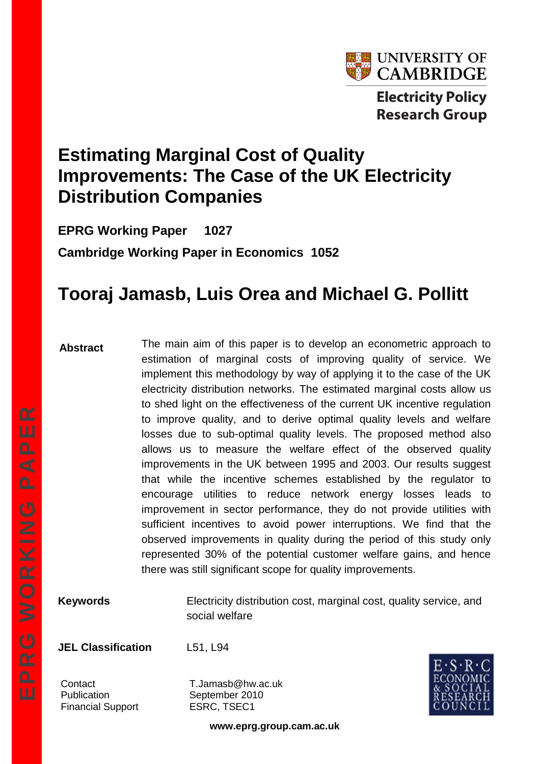

# **Estimating Marginal Cost of Quality Improvements: The Case of the UK Electricity Distribution Companies**

**EPRG Working Paper 1027 Cambridge Working Paper in Economics 1052**

# **Tooraj Jamasb, Luis Orea and Michael G. Pollitt**

#### **Abstract**

The main aim of this paper is to develop an econometric approach to estimation of marginal costs of improving quality of service. We implement this methodology by way of applying it to the case of the UK electricity distribution networks. The estimated marginal costs allow us to shed light on the effectiveness of the current UK incentive regulation to improve quality, and to derive optimal quality levels and welfare losses due to sub-optimal quality levels. The proposed method also allows us to measure the welfare effect of the observed quality improvements in the UK between 1995 and 2003. Our results suggest that while the incentive schemes established by the regulator to encourage utilities to reduce network energy losses leads to improvement in sector performance, they do not provide utilities with sufficient incentives to avoid power interruptions. We find that the observed improvements in quality during the period of this study only represented 30% of the potential customer welfare gains, and hence there was still significant scope for quality improvements.

**Keywords** Electricity distribution cost, marginal cost, quality service, and social welfare

**JEL Classification** L51, L94

Financial Support ESRC, TSEC1

Contact T.Jamasb@hw.ac.uk Publication September 2010



**www.eprg.group.cam.ac.uk**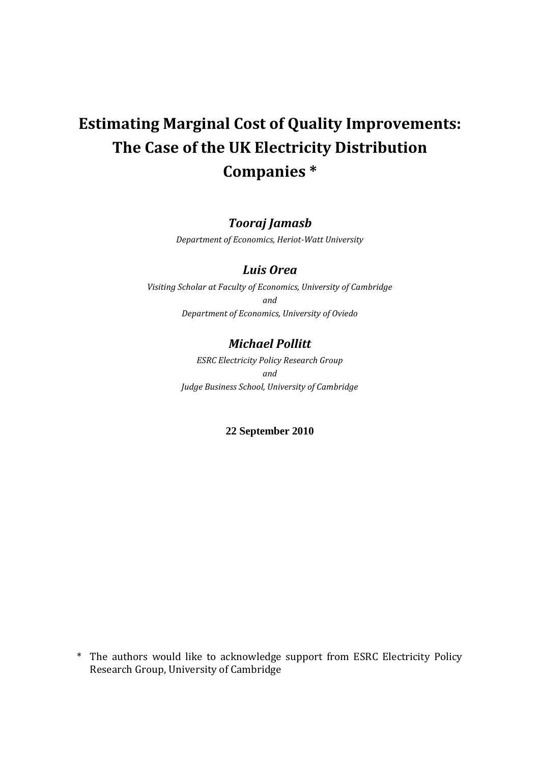# **Estimating Marginal Cost of Quality Improvements: The Case of the UK Electricity Distribution Companies \***

### *Tooraj Jamasb*

*Department of Economics, Heriot-Watt University*

### *Luis Orea*

*Visiting Scholar at Faculty of Economics, University of Cambridge and Department of Economics, University of Oviedo*

### *Michael Pollitt*

*ESRC Electricity Policy Research Group and Judge Business School, University of Cambridge*

#### **22 September 2010**

<sup>\*</sup> The authors would like to acknowledge support from ESRC Electricity Policy Research Group, University of Cambridge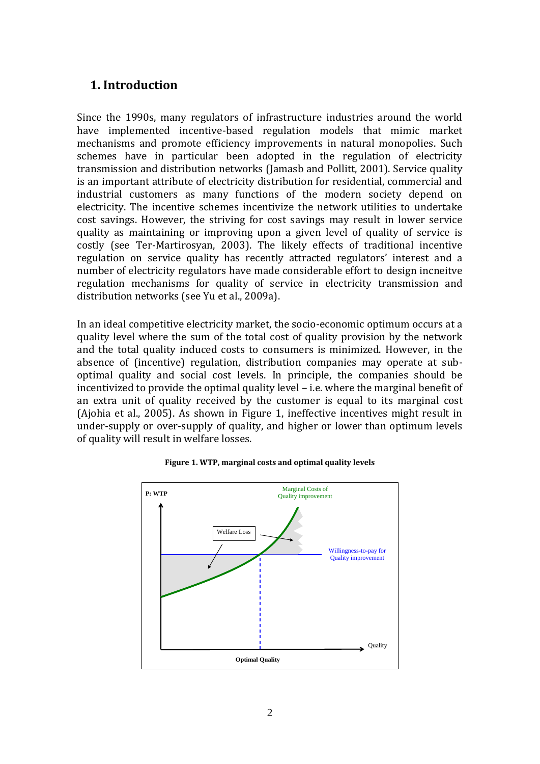# **1. Introduction**

Since the 1990s, many regulators of infrastructure industries around the world have implemented incentive-based regulation models that mimic market mechanisms and promote efficiency improvements in natural monopolies. Such schemes have in particular been adopted in the regulation of electricity transmission and distribution networks (Jamasb and Pollitt, 2001). Service quality is an important attribute of electricity distribution for residential, commercial and industrial customers as many functions of the modern society depend on electricity. The incentive schemes incentivize the network utilities to undertake cost savings. However, the striving for cost savings may result in lower service quality as maintaining or improving upon a given level of quality of service is costly (see Ter-Martirosyan, 2003). The likely effects of traditional incentive regulation on service quality has recently attracted regulators' interest and a number of electricity regulators have made considerable effort to design incneitve regulation mechanisms for quality of service in electricity transmission and distribution networks (see Yu et al., 2009a).

In an ideal competitive electricity market, the socio-economic optimum occurs at a quality level where the sum of the total cost of quality provision by the network and the total quality induced costs to consumers is minimized. However, in the absence of (incentive) regulation, distribution companies may operate at suboptimal quality and social cost levels. In principle, the companies should be incentivized to provide the optimal quality level – i.e. where the marginal benefit of an extra unit of quality received by the customer is equal to its marginal cost (Ajohia et al., 2005). As shown in Figure 1, ineffective incentives might result in under-supply or over-supply of quality, and higher or lower than optimum levels of quality will result in welfare losses.



**Figure 1. WTP, marginal costs and optimal quality levels**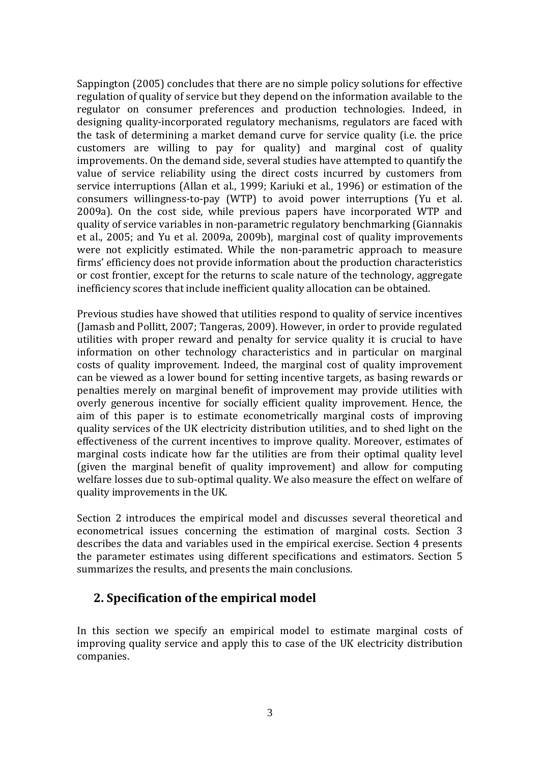Sappington (2005) concludes that there are no simple policy solutions for effective regulation of quality of service but they depend on the information available to the regulator on consumer preferences and production technologies. Indeed, in designing quality-incorporated regulatory mechanisms, regulators are faced with the task of determining a market demand curve for service quality (i.e. the price customers are willing to pay for quality) and marginal cost of quality improvements. On the demand side, several studies have attempted to quantify the value of service reliability using the direct costs incurred by customers from service interruptions (Allan et al., 1999; Kariuki et al., 1996) or estimation of the consumers willingness-to-pay (WTP) to avoid power interruptions (Yu et al. 2009a). On the cost side, while previous papers have incorporated WTP and quality of service variables in non-parametric regulatory benchmarking (Giannakis et al., 2005; and Yu et al. 2009a, 2009b), marginal cost of quality improvements were not explicitly estimated. While the non-parametric approach to measure firms' efficiency does not provide information about the production characteristics or cost frontier, except for the returns to scale nature of the technology, aggregate inefficiency scores that include inefficient quality allocation can be obtained.

Previous studies have showed that utilities respond to quality of service incentives (Jamasb and Pollitt, 2007; Tangeras, 2009). However, in order to provide regulated utilities with proper reward and penalty for service quality it is crucial to have information on other technology characteristics and in particular on marginal costs of quality improvement. Indeed, the marginal cost of quality improvement can be viewed as a lower bound for setting incentive targets, as basing rewards or penalties merely on marginal benefit of improvement may provide utilities with overly generous incentive for socially efficient quality improvement. Hence, the aim of this paper is to estimate econometrically marginal costs of improving quality services of the UK electricity distribution utilities, and to shed light on the effectiveness of the current incentives to improve quality. Moreover, estimates of marginal costs indicate how far the utilities are from their optimal quality level (given the marginal benefit of quality improvement) and allow for computing welfare losses due to sub-optimal quality. We also measure the effect on welfare of quality improvements in the UK.

Section 2 introduces the empirical model and discusses several theoretical and econometrical issues concerning the estimation of marginal costs. Section 3 describes the data and variables used in the empirical exercise. Section 4 presents the parameter estimates using different specifications and estimators. Section 5 summarizes the results, and presents the main conclusions.

## **2. Specification of the empirical model**

In this section we specify an empirical model to estimate marginal costs of improving quality service and apply this to case of the UK electricity distribution companies.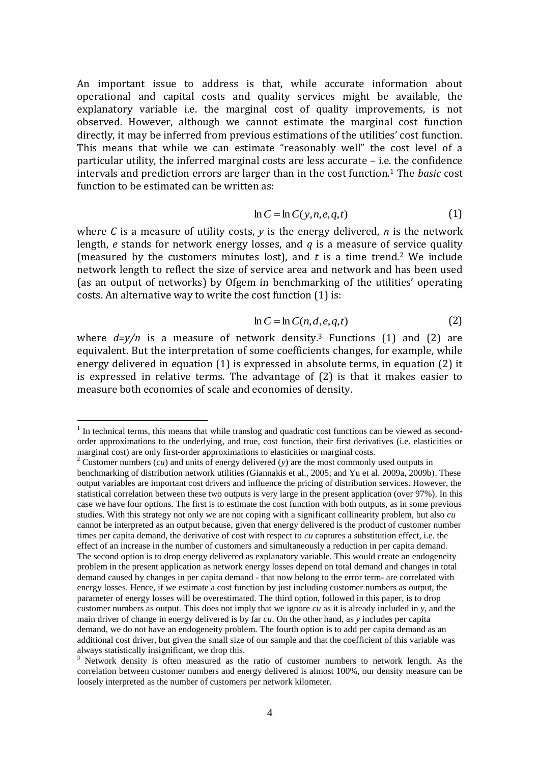An important issue to address is that, while accurate information about operational and capital costs and quality services might be available, the explanatory variable i.e. the marginal cost of quality improvements, is not observed. However, although we cannot estimate the marginal cost function directly, it may be inferred from previous estimations of the utilities' cost function. This means that while we can estimate "reasonably well" the cost level of a particular utility, the inferred marginal costs are less accurate – i.e. the confidence intervals and prediction errors are larger than in the cost function.<sup>1</sup> The *basic* cost function to be estimated can be written as:

$$
\ln C = \ln C(y, n, e, q, t) \tag{1}
$$

where *C* is a measure of utility costs, *y* is the energy delivered, *n* is the network length, *e* stands for network energy losses, and *q* is a measure of service quality (measured by the customers minutes lost), and  $t$  is a time trend.<sup>2</sup> We include network length to reflect the size of service area and network and has been used (as an output of networks) by Ofgem in benchmarking of the utilities' operating costs. An alternative way to write the cost function (1) is:

$$
\ln C = \ln C(n, d, e, q, t) \tag{2}
$$

where  $d=v/n$  is a measure of network density.<sup>3</sup> Functions (1) and (2) are equivalent. But the interpretation of some coefficients changes, for example, while energy delivered in equation (1) is expressed in absolute terms, in equation (2) it is expressed in relative terms. The advantage of (2) is that it makes easier to measure both economies of scale and economies of density.

<sup>&</sup>lt;sup>1</sup> In technical terms, this means that while translog and quadratic cost functions can be viewed as secondorder approximations to the underlying, and true, cost function, their first derivatives (i.e. elasticities or marginal cost) are only first-order approximations to elasticities or marginal costs.

<sup>2</sup> Customer numbers (*cu*) and units of energy delivered (*y*) are the most commonly used outputs in benchmarking of distribution network utilities (Giannakis et al., 2005; and Yu et al. 2009a, 2009b). These output variables are important cost drivers and influence the pricing of distribution services. However, the statistical correlation between these two outputs is very large in the present application (over 97%). In this case we have four options. The first is to estimate the cost function with both outputs, as in some previous studies. With this strategy not only we are not coping with a significant collinearity problem, but also *cu* cannot be interpreted as an output because, given that energy delivered is the product of customer number times per capita demand, the derivative of cost with respect to *cu* captures a substitution effect, i.e. the effect of an increase in the number of customers and simultaneously a reduction in per capita demand. The second option is to drop energy delivered as explanatory variable. This would create an endogeneity problem in the present application as network energy losses depend on total demand and changes in total demand caused by changes in per capita demand - that now belong to the error term- are correlated with energy losses. Hence, if we estimate a cost function by just including customer numbers as output, the parameter of energy losses will be overestimated. The third option, followed in this paper, is to drop customer numbers as output. This does not imply that we ignore *cu* as it is already included in *y*, and the main driver of change in energy delivered is by far *cu*. On the other hand, as *y* includes per capita demand, we do not have an endogeneity problem. The fourth option is to add per capita demand as an additional cost driver, but given the small size of our sample and that the coefficient of this variable was always statistically insignificant, we drop this.

<sup>&</sup>lt;sup>3</sup> Network density is often measured as the ratio of customer numbers to network length. As the correlation between customer numbers and energy delivered is almost 100%, our density measure can be loosely interpreted as the number of customers per network kilometer.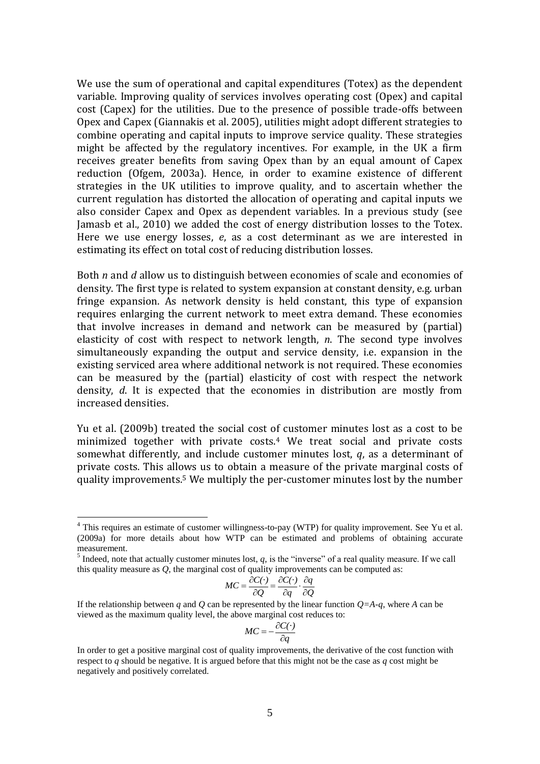We use the sum of operational and capital expenditures (Totex) as the dependent variable. Improving quality of services involves operating cost (Opex) and capital cost (Capex) for the utilities. Due to the presence of possible trade-offs between Opex and Capex (Giannakis et al. 2005), utilities might adopt different strategies to combine operating and capital inputs to improve service quality. These strategies might be affected by the regulatory incentives. For example, in the UK a firm receives greater benefits from saving Opex than by an equal amount of Capex reduction (Ofgem, 2003a). Hence, in order to examine existence of different strategies in the UK utilities to improve quality, and to ascertain whether the current regulation has distorted the allocation of operating and capital inputs we also consider Capex and Opex as dependent variables. In a previous study (see Jamasb et al., 2010) we added the cost of energy distribution losses to the Totex. Here we use energy losses, *e*, as a cost determinant as we are interested in estimating its effect on total cost of reducing distribution losses.

Both *n* and *d* allow us to distinguish between economies of scale and economies of density. The first type is related to system expansion at constant density, e.g. urban fringe expansion. As network density is held constant, this type of expansion requires enlarging the current network to meet extra demand. These economies that involve increases in demand and network can be measured by (partial) elasticity of cost with respect to network length, *n*. The second type involves simultaneously expanding the output and service density, i.e. expansion in the existing serviced area where additional network is not required. These economies can be measured by the (partial) elasticity of cost with respect the network density, *d*. It is expected that the economies in distribution are mostly from increased densities.

Yu et al. (2009b) treated the social cost of customer minutes lost as a cost to be minimized together with private costs.<sup>4</sup> We treat social and private costs somewhat differently, and include customer minutes lost, *q*, as a determinant of private costs. This allows us to obtain a measure of the private marginal costs of quality improvements.<sup>5</sup> We multiply the per-customer minutes lost by the number

<u>.</u>

$$
MC = \frac{\partial C(\cdot)}{\partial Q} = \frac{\partial C(\cdot)}{\partial q} \cdot \frac{\partial q}{\partial Q}
$$

If the relationship between *q* and *Q* can be represented by the linear function  $Q=A-q$ , where *A* can be viewed as the maximum quality level, the above marginal cost reduces to:

$$
MC = -\frac{\partial C(\cdot)}{\partial q}
$$

 $4$  This requires an estimate of customer willingness-to-pay (WTP) for quality improvement. See Yu et al. (2009a) for more details about how WTP can be estimated and problems of obtaining accurate measurement.

<sup>&</sup>lt;sup>5</sup> Indeed, note that actually customer minutes lost,  $q$ , is the "inverse" of a real quality measure. If we call this quality measure as *Q*, the marginal cost of quality improvements can be computed as:

In order to get a positive marginal cost of quality improvements, the derivative of the cost function with respect to *q* should be negative. It is argued before that this might not be the case as *q* cost might be negatively and positively correlated.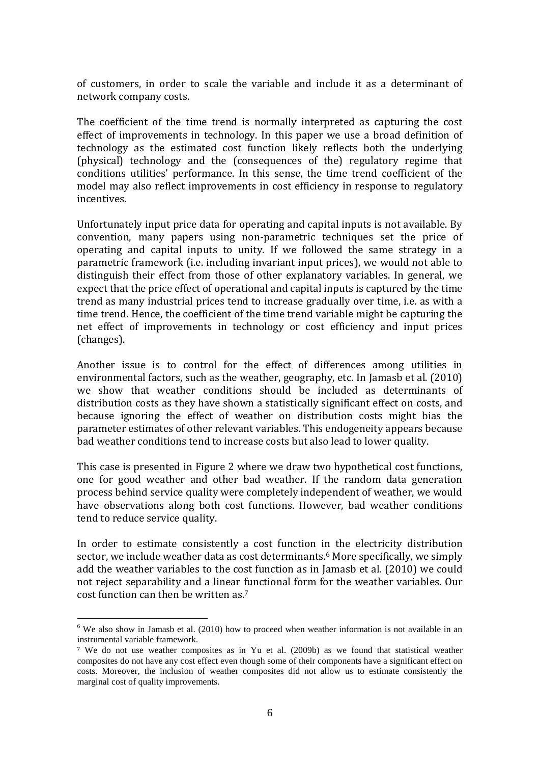of customers, in order to scale the variable and include it as a determinant of network company costs.

The coefficient of the time trend is normally interpreted as capturing the cost effect of improvements in technology. In this paper we use a broad definition of technology as the estimated cost function likely reflects both the underlying (physical) technology and the (consequences of the) regulatory regime that conditions utilities' performance. In this sense, the time trend coefficient of the model may also reflect improvements in cost efficiency in response to regulatory incentives.

Unfortunately input price data for operating and capital inputs is not available. By convention, many papers using non-parametric techniques set the price of operating and capital inputs to unity. If we followed the same strategy in a parametric framework (i.e. including invariant input prices), we would not able to distinguish their effect from those of other explanatory variables. In general, we expect that the price effect of operational and capital inputs is captured by the time trend as many industrial prices tend to increase gradually over time, i.e. as with a time trend. Hence, the coefficient of the time trend variable might be capturing the net effect of improvements in technology or cost efficiency and input prices (changes).

Another issue is to control for the effect of differences among utilities in environmental factors, such as the weather, geography, etc. In Jamasb et al. (2010) we show that weather conditions should be included as determinants of distribution costs as they have shown a statistically significant effect on costs, and because ignoring the effect of weather on distribution costs might bias the parameter estimates of other relevant variables. This endogeneity appears because bad weather conditions tend to increase costs but also lead to lower quality.

This case is presented in Figure 2 where we draw two hypothetical cost functions, one for good weather and other bad weather. If the random data generation process behind service quality were completely independent of weather, we would have observations along both cost functions. However, bad weather conditions tend to reduce service quality.

In order to estimate consistently a cost function in the electricity distribution sector, we include weather data as cost determinants.<sup>6</sup> More specifically, we simply add the weather variables to the cost function as in Jamasb et al. (2010) we could not reject separability and a linear functional form for the weather variables. Our cost function can then be written as.<sup>7</sup>

<sup>&</sup>lt;sup>6</sup> We also show in Jamasb et al. (2010) how to proceed when weather information is not available in an instrumental variable framework.

<sup>7</sup> We do not use weather composites as in Yu et al. (2009b) as we found that statistical weather composites do not have any cost effect even though some of their components have a significant effect on costs. Moreover, the inclusion of weather composites did not allow us to estimate consistently the marginal cost of quality improvements.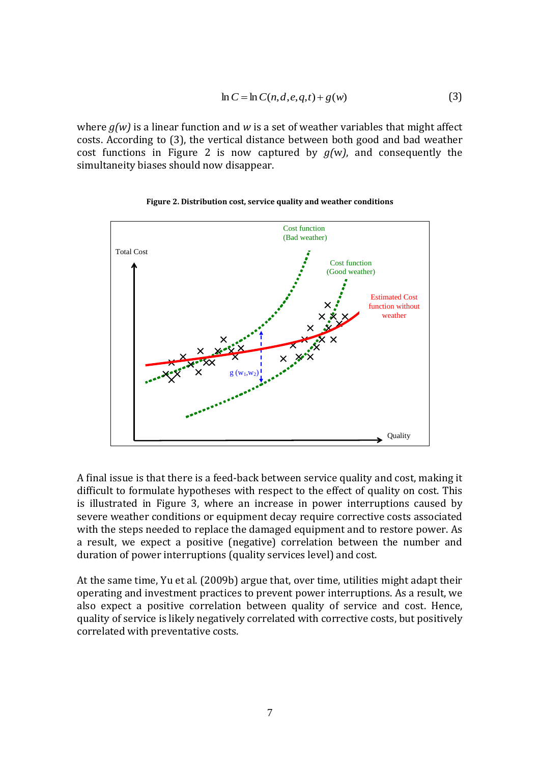$$
\ln C = \ln C(n, d, e, q, t) + g(w) \tag{3}
$$

where *g(w)* is a linear function and *w* is a set of weather variables that might affect costs. According to (3), the vertical distance between both good and bad weather cost functions in Figure 2 is now captured by  $g(w)$ , and consequently the simultaneity biases should now disappear.



#### **Figure 2. Distribution cost, service quality and weather conditions**

A final issue is that there is a feed-back between service quality and cost, making it difficult to formulate hypotheses with respect to the effect of quality on cost. This is illustrated in Figure 3, where an increase in power interruptions caused by severe weather conditions or equipment decay require corrective costs associated with the steps needed to replace the damaged equipment and to restore power. As a result, we expect a positive (negative) correlation between the number and duration of power interruptions (quality services level) and cost.

At the same time, Yu et al. (2009b) argue that, over time, utilities might adapt their operating and investment practices to prevent power interruptions. As a result, we also expect a positive correlation between quality of service and cost. Hence, quality of service is likely negatively correlated with corrective costs, but positively correlated with preventative costs.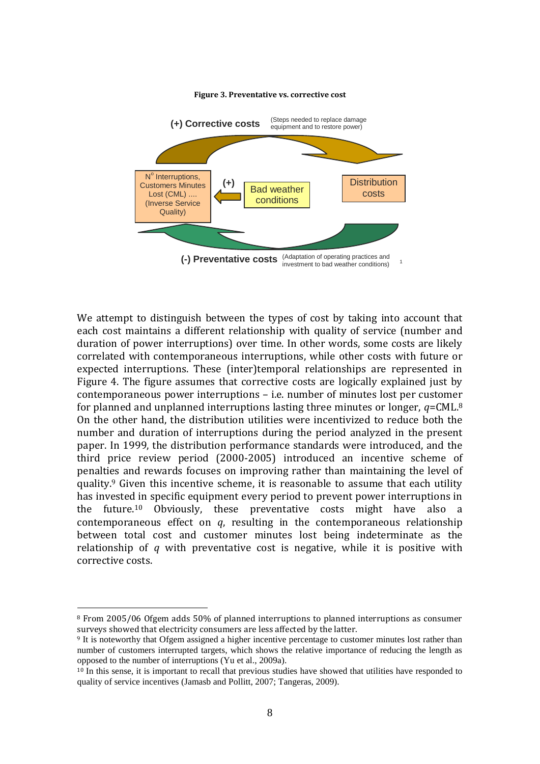

#### **Figure 3. Preventative vs. corrective cost**

We attempt to distinguish between the types of cost by taking into account that each cost maintains a different relationship with quality of service (number and duration of power interruptions) over time. In other words, some costs are likely correlated with contemporaneous interruptions, while other costs with future or expected interruptions. These (inter)temporal relationships are represented in Figure 4. The figure assumes that corrective costs are logically explained just by contemporaneous power interruptions – i.e. number of minutes lost per customer for planned and unplanned interruptions lasting three minutes or longer, *q*=CML.<sup>8</sup> On the other hand, the distribution utilities were incentivized to reduce both the number and duration of interruptions during the period analyzed in the present paper. In 1999, the distribution performance standards were introduced, and the third price review period (2000-2005) introduced an incentive scheme of penalties and rewards focuses on improving rather than maintaining the level of quality.<sup>9</sup> Given this incentive scheme, it is reasonable to assume that each utility has invested in specific equipment every period to prevent power interruptions in the future.<sup>10</sup> Obviously, these preventative costs might have also a contemporaneous effect on *q*, resulting in the contemporaneous relationship between total cost and customer minutes lost being indeterminate as the relationship of *q* with preventative cost is negative, while it is positive with corrective costs.

<sup>8</sup> From 2005/06 Ofgem adds 50% of planned interruptions to planned interruptions as consumer surveys showed that electricity consumers are less affected by the latter.

<sup>&</sup>lt;sup>9</sup> It is noteworthy that Ofgem assigned a higher incentive percentage to customer minutes lost rather than number of customers interrupted targets, which shows the relative importance of reducing the length as opposed to the number of interruptions (Yu et al., 2009a).

 $10$  In this sense, it is important to recall that previous studies have showed that utilities have responded to quality of service incentives (Jamasb and Pollitt, 2007; Tangeras, 2009).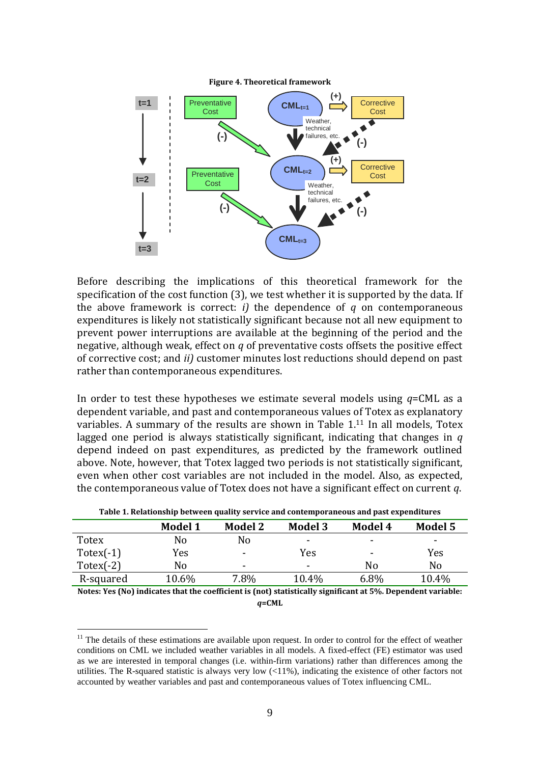

Before describing the implications of this theoretical framework for the specification of the cost function (3), we test whether it is supported by the data. If the above framework is correct: *i)* the dependence of *q* on contemporaneous expenditures is likely not statistically significant because not all new equipment to prevent power interruptions are available at the beginning of the period and the negative, although weak, effect on *q* of preventative costs offsets the positive effect of corrective cost; and *ii)* customer minutes lost reductions should depend on past rather than contemporaneous expenditures.

In order to test these hypotheses we estimate several models using *q*=CML as a dependent variable, and past and contemporaneous values of Totex as explanatory variables. A summary of the results are shown in Table 1.<sup>11</sup> In all models, Totex lagged one period is always statistically significant, indicating that changes in *q* depend indeed on past expenditures, as predicted by the framework outlined above. Note, however, that Totex lagged two periods is not statistically significant, even when other cost variables are not included in the model. Also, as expected, the contemporaneous value of Totex does not have a significant effect on current *q*.

|                                                       | <b>Model 1</b> | <b>Model 2</b> | <b>Model 3</b>                                                                                     | Model 4                                 | Model 5 |
|-------------------------------------------------------|----------------|----------------|----------------------------------------------------------------------------------------------------|-----------------------------------------|---------|
| <b>Totex</b>                                          | No             | No             | -                                                                                                  | -                                       | -       |
| $Totex(-1)$                                           | Yes            | $\blacksquare$ | Yes                                                                                                | -                                       | Yes     |
| $Totex(-2)$                                           | No             | ۰              | -                                                                                                  | No                                      | No      |
| R-squared                                             | 10.6%          | 7.8%           | 10.4%                                                                                              | 6.8%                                    | 10.4%   |
| $\sim$ $\sim$ $\sim$ $\sim$ $\sim$ $\sim$<br>$\cdots$ |                | $\sim$ $\sim$  | $\mathbf{A}$ , $\mathbf{A}$ , $\mathbf{A}$ , $\mathbf{A}$ , $\mathbf{A}$ , $\mathbf{A}$<br>$\cdot$ | $\cdot$ $\cdot$ $\cdot$ $\cdot$ $\cdot$ | .       |

**Table 1. Relationship between quality service and contemporaneous and past expenditures**

**Notes: Yes (No) indicates that the coefficient is (not) statistically significant at 5%. Dependent variable:**  *q***=CML**

<u>.</u>

<sup>&</sup>lt;sup>11</sup> The details of these estimations are available upon request. In order to control for the effect of weather conditions on CML we included weather variables in all models. A fixed-effect (FE) estimator was used as we are interested in temporal changes (i.e. within-firm variations) rather than differences among the utilities. The R-squared statistic is always very low  $\left( \langle 11\% \rangle \right)$ , indicating the existence of other factors not accounted by weather variables and past and contemporaneous values of Totex influencing CML.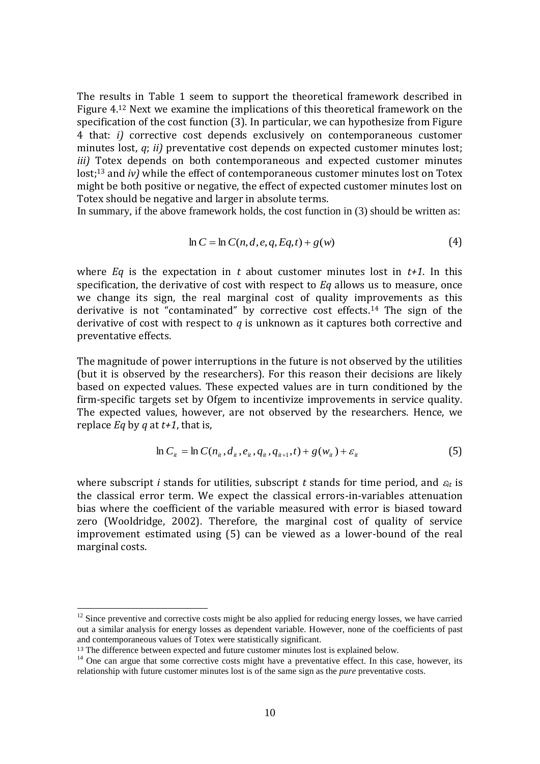The results in Table 1 seem to support the theoretical framework described in Figure 4.<sup>12</sup> Next we examine the implications of this theoretical framework on the specification of the cost function (3). In particular, we can hypothesize from Figure 4 that: *i)* corrective cost depends exclusively on contemporaneous customer minutes lost, *q*; *ii)* preventative cost depends on expected customer minutes lost; *iii)* Totex depends on both contemporaneous and expected customer minutes lost;<sup>13</sup> and *iv*) while the effect of contemporaneous customer minutes lost on Totex might be both positive or negative, the effect of expected customer minutes lost on Totex should be negative and larger in absolute terms.

In summary, if the above framework holds, the cost function in (3) should be written as:

$$
\ln C = \ln C(n, d, e, q, Eq, t) + g(w) \tag{4}
$$

where *Eq* is the expectation in *t* about customer minutes lost in *t+1*. In this specification, the derivative of cost with respect to *Eq* allows us to measure, once we change its sign, the real marginal cost of quality improvements as this derivative is not "contaminated" by corrective cost effects.<sup>14</sup> The sign of the derivative of cost with respect to *q* is unknown as it captures both corrective and preventative effects.

The magnitude of power interruptions in the future is not observed by the utilities (but it is observed by the researchers). For this reason their decisions are likely based on expected values. These expected values are in turn conditioned by the firm-specific targets set by Ofgem to incentivize improvements in service quality. The expected values, however, are not observed by the researchers. Hence, we replace *Eq* by *q* at *t+1*, that is,

$$
\ln C_{ii} = \ln C(n_{ii}, d_{ii}, e_{ii}, q_{ii}, q_{i+1}, t) + g(w_{ii}) + \varepsilon_{ii}
$$
\n(5)

where subscript *i* stands for utilities, subscript *t* stands for time period, and  $\varepsilon_t$  is the classical error term. We expect the classical errors-in-variables attenuation bias where the coefficient of the variable measured with error is biased toward zero (Wooldridge, 2002). Therefore, the marginal cost of quality of service improvement estimated using (5) can be viewed as a lower-bound of the real marginal costs.

<u>.</u>

<sup>&</sup>lt;sup>12</sup> Since preventive and corrective costs might be also applied for reducing energy losses, we have carried out a similar analysis for energy losses as dependent variable. However, none of the coefficients of past and contemporaneous values of Totex were statistically significant.

<sup>&</sup>lt;sup>13</sup> The difference between expected and future customer minutes lost is explained below.

<sup>&</sup>lt;sup>14</sup> One can argue that some corrective costs might have a preventative effect. In this case, however, its relationship with future customer minutes lost is of the same sign as the *pure* preventative costs.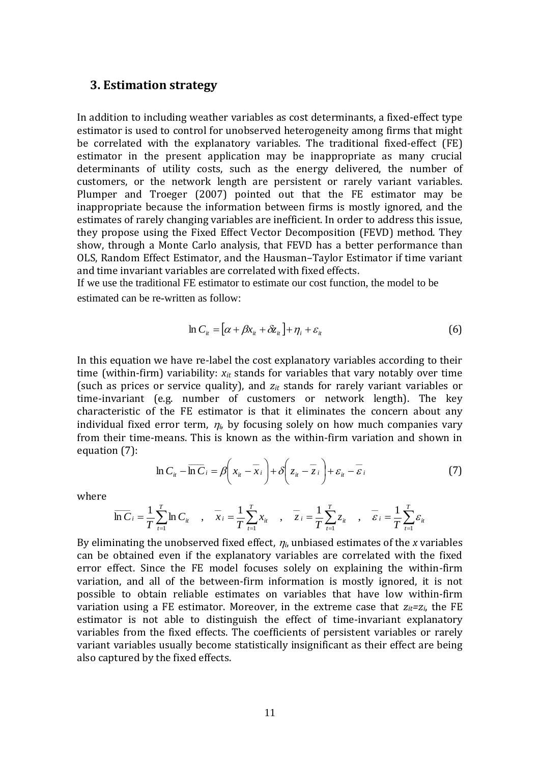#### **3. Estimation strategy**

In addition to including weather variables as cost determinants, a fixed-effect type estimator is used to control for unobserved heterogeneity among firms that might be correlated with the explanatory variables. The traditional fixed-effect (FE) estimator in the present application may be inappropriate as many crucial determinants of utility costs, such as the energy delivered, the number of customers, or the network length are persistent or rarely variant variables. Plumper and Troeger (2007) pointed out that the FE estimator may be inappropriate because the information between firms is mostly ignored, and the estimates of rarely changing variables are inefficient. In order to address this issue, they propose using the Fixed Effect Vector Decomposition (FEVD) method. They show, through a Monte Carlo analysis, that FEVD has a better performance than OLS, Random Effect Estimator, and the Hausman–Taylor Estimator if time variant and time invariant variables are correlated with fixed effects.

If we use the traditional FE estimator to estimate our cost function, the model to be estimated can be re-written as follow:

$$
\ln C_{ii} = \left[ \alpha + \beta x_{ii} + \delta z_{ii} \right] + \eta_i + \varepsilon_{ii}
$$
\n<sup>(6)</sup>

In this equation we have re-label the cost explanatory variables according to their time (within-firm) variability: *xit* stands for variables that vary notably over time (such as prices or service quality), and *zit* stands for rarely variant variables or time-invariant (e.g. number of customers or network length). The key characteristic of the FE estimator is that it eliminates the concern about any individual fixed error term,  $\eta_i$ , by focusing solely on how much companies vary from their time-means. This is known as the within-firm variation and shown in equation (7):

$$
\ln C_{it} - \overline{\ln C}_{i} = \beta \left( x_{it} - \overline{x}_{i} \right) + \delta \left( z_{it} - \overline{z}_{i} \right) + \varepsilon_{it} - \overline{\varepsilon}_{i}
$$
(7)

where

$$
\overline{\ln C}_{i} = \frac{1}{T} \sum_{t=1}^{T} \ln C_{it} \quad , \quad \overline{x}_{i} = \frac{1}{T} \sum_{t=1}^{T} x_{it} \quad , \quad \overline{z}_{i} = \frac{1}{T} \sum_{t=1}^{T} z_{it} \quad , \quad \overline{\varepsilon}_{i} = \frac{1}{T} \sum_{t=1}^{T} \varepsilon_{it}
$$

By eliminating the unobserved fixed effect, *i*, unbiased estimates of the *x* variables can be obtained even if the explanatory variables are correlated with the fixed error effect. Since the FE model focuses solely on explaining the within-firm variation, and all of the between-firm information is mostly ignored, it is not possible to obtain reliable estimates on variables that have low within-firm variation using a FE estimator. Moreover, in the extreme case that  $z_{it} = z_i$ , the FE estimator is not able to distinguish the effect of time-invariant explanatory variables from the fixed effects. The coefficients of persistent variables or rarely variant variables usually become statistically insignificant as their effect are being also captured by the fixed effects.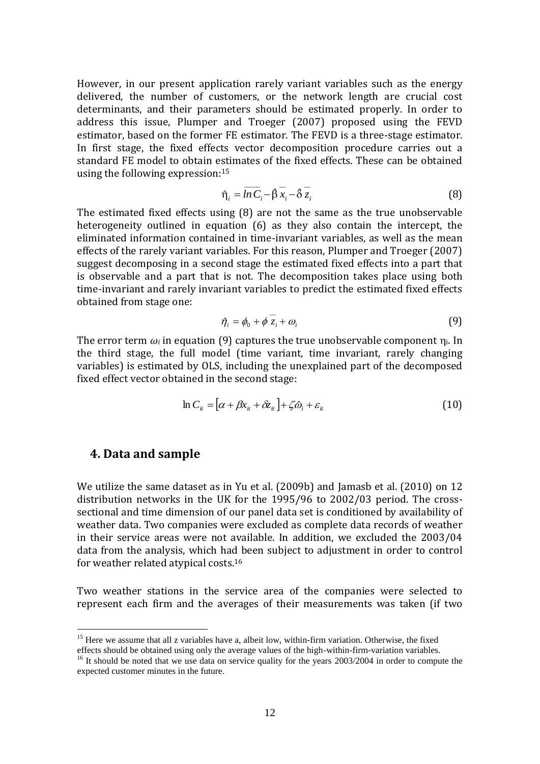However, in our present application rarely variant variables such as the energy delivered, the number of customers, or the network length are crucial cost determinants, and their parameters should be estimated properly. In order to address this issue, Plumper and Troeger (2007) proposed using the FEVD estimator, based on the former FE estimator. The FEVD is a three-stage estimator. In first stage, the fixed effects vector decomposition procedure carries out a standard FE model to obtain estimates of the fixed effects. These can be obtained using the following expression:<sup>15</sup>

$$
\eta_i = \overline{ln C_i} - \hat{\beta} \overline{x_i} - \hat{\delta} \overline{z_i}
$$
 (8)

The estimated fixed effects using (8) are not the same as the true unobservable heterogeneity outlined in equation (6) as they also contain the intercept, the eliminated information contained in time-invariant variables, as well as the mean effects of the rarely variant variables. For this reason, Plumper and Troeger (2007) suggest decomposing in a second stage the estimated fixed effects into a part that is observable and a part that is not. The decomposition takes place using both time-invariant and rarely invariant variables to predict the estimated fixed effects obtained from stage one:

$$
\hat{\eta}_i = \phi_0 + \phi z_i + \omega_i \tag{9}
$$

The error term  $\omega_i$  in equation (9) captures the true unobservable component  $\eta_i$ . In the third stage, the full model (time variant, time invariant, rarely changing variables) is estimated by OLS, including the unexplained part of the decomposed fixed effect vector obtained in the second stage:

 $\overline{\phantom{a}}$ 

$$
\ln C_{ii} = [\alpha + \beta x_{ii} + \delta z_{ii}] + \zeta \hat{\omega}_i + \varepsilon_{ii}
$$
\n(10)

#### **4. Data and sample**

<u>.</u>

We utilize the same dataset as in Yu et al. (2009b) and Jamasb et al. (2010) on 12 distribution networks in the UK for the 1995/96 to 2002/03 period. The crosssectional and time dimension of our panel data set is conditioned by availability of weather data. Two companies were excluded as complete data records of weather in their service areas were not available. In addition, we excluded the 2003/04 data from the analysis, which had been subject to adjustment in order to control for weather related atypical costs. 16

Two weather stations in the service area of the companies were selected to represent each firm and the averages of their measurements was taken (if two

<sup>&</sup>lt;sup>15</sup> Here we assume that all z variables have a, albeit low, within-firm variation. Otherwise, the fixed

effects should be obtained using only the average values of the high-within-firm-variation variables.

<sup>&</sup>lt;sup>16</sup> It should be noted that we use data on service quality for the years 2003/2004 in order to compute the expected customer minutes in the future.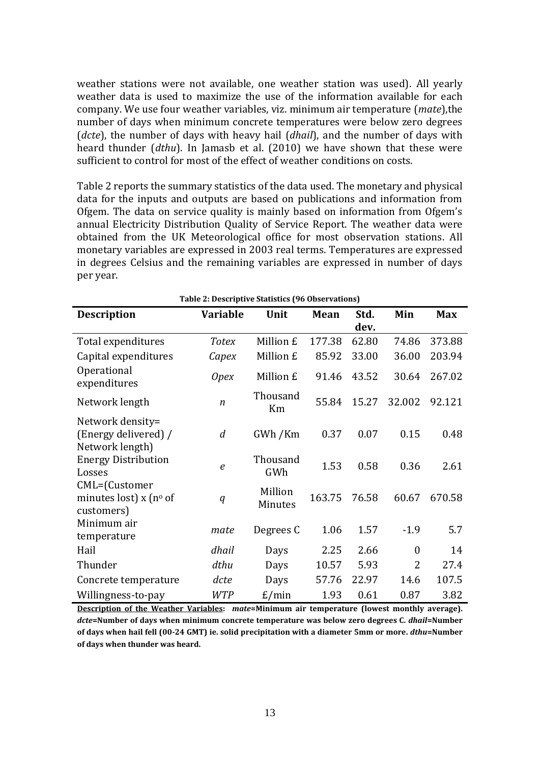weather stations were not available, one weather station was used). All yearly weather data is used to maximize the use of the information available for each company. We use four weather variables, viz. minimum air temperature (*mate*),the number of days when minimum concrete temperatures were below zero degrees (*dcte*), the number of days with heavy hail (*dhail*), and the number of days with heard thunder (*dthu*). In Jamasb et al. (2010) we have shown that these were sufficient to control for most of the effect of weather conditions on costs.

Table 2 reports the summary statistics of the data used. The monetary and physical data for the inputs and outputs are based on publications and information from Ofgem. The data on service quality is mainly based on information from Ofgem's annual Electricity Distribution Quality of Service Report. The weather data were obtained from the UK Meteorological office for most observation stations. All monetary variables are expressed in 2003 real terms. Temperatures are expressed in degrees Celsius and the remaining variables are expressed in number of days per year.

|                                                             | Table 2: Descriptive Statistics (96 Observations) |                    |        |              |                  |            |
|-------------------------------------------------------------|---------------------------------------------------|--------------------|--------|--------------|------------------|------------|
| <b>Description</b>                                          | Variable                                          | Unit               | Mean   | Std.<br>dev. | Min              | <b>Max</b> |
| Total expenditures                                          | <b>Totex</b>                                      | Million £          | 177.38 | 62.80        | 74.86            | 373.88     |
| Capital expenditures                                        | Capex                                             | Million £          | 85.92  | 33.00        | 36.00            | 203.94     |
| Operational<br>expenditures                                 | <i>Opex</i>                                       | Million £          | 91.46  | 43.52        | 30.64            | 267.02     |
| Network length                                              | $\boldsymbol{n}$                                  | Thousand<br>Km     | 55.84  | 15.27        | 32.002           | 92.121     |
| Network density=<br>(Energy delivered) /<br>Network length) | $\overline{d}$                                    | GWh / Km           | 0.37   | 0.07         | 0.15             | 0.48       |
| <b>Energy Distribution</b><br>Losses                        | $\boldsymbol{e}$                                  | Thousand<br>GWh    | 1.53   | 0.58         | 0.36             | 2.61       |
| CML=(Customer<br>minutes lost) $x$ (n° of<br>customers)     | q                                                 | Million<br>Minutes | 163.75 | 76.58        | 60.67            | 670.58     |
| Minimum air<br>temperature                                  | mate                                              | Degrees C          | 1.06   | 1.57         | $-1.9$           | 5.7        |
| Hail                                                        | dhail                                             | Days               | 2.25   | 2.66         | $\boldsymbol{0}$ | 14         |
| Thunder                                                     | dthu                                              | Days               | 10.57  | 5.93         | $\overline{2}$   | 27.4       |
| Concrete temperature                                        | dcte                                              | Days               | 57.76  | 22.97        | 14.6             | 107.5      |
| Willingness-to-pay                                          | <b>WTP</b>                                        | E/min              | 1.93   | 0.61         | 0.87             | 3.82       |

**Description of the Weather Variables:** *mate***=Minimum air temperature (lowest monthly average).**  *dcte***=Number of days when minimum concrete temperature was below zero degrees C.** *dhail***=Number of days when hail fell (00-24 GMT) ie. solid precipitation with a diameter 5mm or more.** *dthu***=Number of days when thunder was heard.**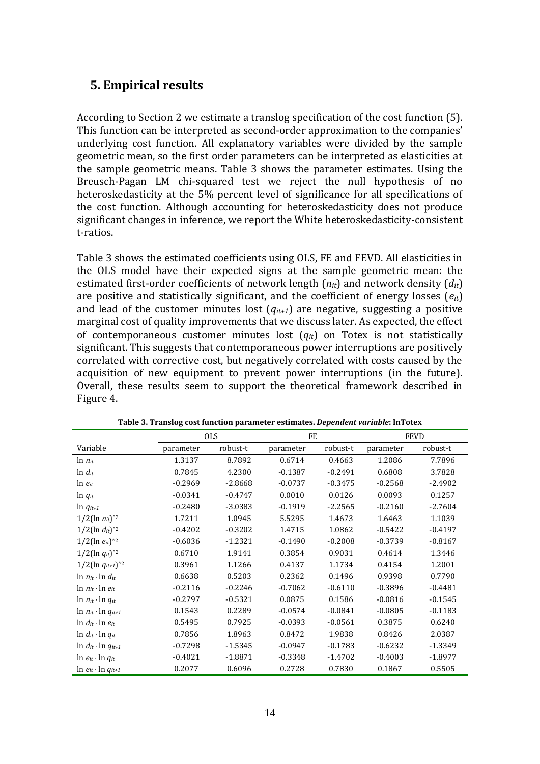# **5. Empirical results**

According to Section 2 we estimate a translog specification of the cost function (5). This function can be interpreted as second-order approximation to the companies' underlying cost function. All explanatory variables were divided by the sample geometric mean, so the first order parameters can be interpreted as elasticities at the sample geometric means. Table 3 shows the parameter estimates. Using the Breusch-Pagan LM chi-squared test we reject the null hypothesis of no heteroskedasticity at the 5% percent level of significance for all specifications of the cost function. Although accounting for heteroskedasticity does not produce significant changes in inference, we report the White heteroskedasticity-consistent t-ratios.

Table 3 shows the estimated coefficients using OLS, FE and FEVD. All elasticities in the OLS model have their expected signs at the sample geometric mean: the estimated first-order coefficients of network length (*nit*) and network density (*dit*) are positive and statistically significant, and the coefficient of energy losses (*eit*) and lead of the customer minutes lost  $(q_{it+1})$  are negative, suggesting a positive marginal cost of quality improvements that we discuss later. As expected, the effect of contemporaneous customer minutes lost (*qit*) on Totex is not statistically significant. This suggests that contemporaneous power interruptions are positively correlated with corrective cost, but negatively correlated with costs caused by the acquisition of new equipment to prevent power interruptions (in the future). Overall, these results seem to support the theoretical framework described in Figure 4.

|                                 | <b>OLS</b> |           | FE        |           | <b>FEVD</b> |           |
|---------------------------------|------------|-----------|-----------|-----------|-------------|-----------|
| Variable                        | parameter  | robust-t  | parameter | robust-t  | parameter   | robust-t  |
| $\ln n_{it}$                    | 1.3137     | 8.7892    | 0.6714    | 0.4663    | 1.2086      | 7.7896    |
| $\ln d_{it}$                    | 0.7845     | 4.2300    | $-0.1387$ | $-0.2491$ | 0.6808      | 3.7828    |
| $\ln e_{it}$                    | $-0.2969$  | $-2.8668$ | $-0.0737$ | $-0.3475$ | $-0.2568$   | $-2.4902$ |
| $\ln q_{it}$                    | $-0.0341$  | $-0.4747$ | 0.0010    | 0.0126    | 0.0093      | 0.1257    |
| $\ln q_{it+1}$                  | $-0.2480$  | $-3.0383$ | $-0.1919$ | $-2.2565$ | $-0.2160$   | $-2.7604$ |
| $1/2(\ln n_{it})^2$             | 1.7211     | 1.0945    | 5.5295    | 1.4673    | 1.6463      | 1.1039    |
| $1/2(\ln d_{it})^2$             | $-0.4202$  | $-0.3202$ | 1.4715    | 1.0862    | $-0.5422$   | $-0.4197$ |
| $1/2(\ln e_{it})^2$             | $-0.6036$  | $-1.2321$ | $-0.1490$ | $-0.2008$ | $-0.3739$   | $-0.8167$ |
| $1/2(\ln q_{it})^2$             | 0.6710     | 1.9141    | 0.3854    | 0.9031    | 0.4614      | 1.3446    |
| $1/2(\ln q_{it+1})^2$           | 0.3961     | 1.1266    | 0.4137    | 1.1734    | 0.4154      | 1.2001    |
| $\ln n_{it} \cdot \ln d_{it}$   | 0.6638     | 0.5203    | 0.2362    | 0.1496    | 0.9398      | 0.7790    |
| $\ln n_{it} \cdot \ln e_{it}$   | $-0.2116$  | $-0.2246$ | $-0.7062$ | $-0.6110$ | $-0.3896$   | $-0.4481$ |
| $\ln n_{it} \cdot \ln q_{it}$   | $-0.2797$  | $-0.5321$ | 0.0875    | 0.1586    | $-0.0816$   | $-0.1545$ |
| $\ln n_{it} \cdot \ln q_{it+1}$ | 0.1543     | 0.2289    | $-0.0574$ | $-0.0841$ | $-0.0805$   | $-0.1183$ |
| $\ln d_{it} \cdot \ln e_{it}$   | 0.5495     | 0.7925    | $-0.0393$ | $-0.0561$ | 0.3875      | 0.6240    |
| $\ln d_{it} \cdot \ln q_{it}$   | 0.7856     | 1.8963    | 0.8472    | 1.9838    | 0.8426      | 2.0387    |
| $\ln d_{it} \cdot \ln q_{it+1}$ | $-0.7298$  | $-1.5345$ | $-0.0947$ | $-0.1783$ | $-0.6232$   | $-1.3349$ |
| $\ln e_{it} \cdot \ln q_{it}$   | $-0.4021$  | $-1.8871$ | $-0.3348$ | $-1.4702$ | $-0.4003$   | $-1.8977$ |
| $\ln e_{it} \cdot \ln q_{it+1}$ | 0.2077     | 0.6096    | 0.2728    | 0.7830    | 0.1867      | 0.5505    |

**Table 3. Translog cost function parameter estimates.** *Dependent variable***: lnTotex**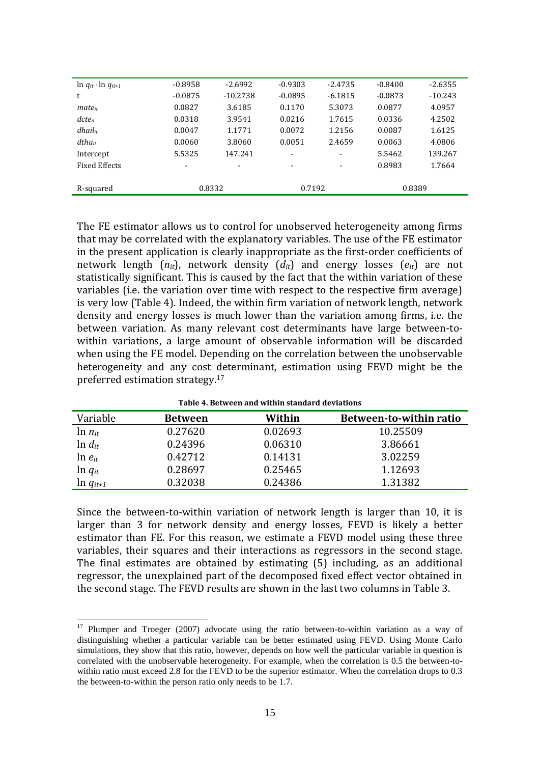| $\ln q_{it} \cdot \ln q_{it+1}$ | $-0.8958$                | $-2.6992$                | $-0.9303$                | $-2.4735$                | $-0.8400$ | $-2.6355$ |
|---------------------------------|--------------------------|--------------------------|--------------------------|--------------------------|-----------|-----------|
| t                               | $-0.0875$                | $-10.2738$               | $-0.0895$                | $-6.1815$                | $-0.0873$ | $-10.243$ |
| $mate_{it}$                     | 0.0827                   | 3.6185                   | 0.1170                   | 5.3073                   | 0.0877    | 4.0957    |
| $dcte_{it}$                     | 0.0318                   | 3.9541                   | 0.0216                   | 1.7615                   | 0.0336    | 4.2502    |
| $d$ hai $l$ <sub>it</sub>       | 0.0047                   | 1.1771                   | 0.0072                   | 1.2156                   | 0.0087    | 1.6125    |
| $d$ thu $_{it}$                 | 0.0060                   | 3.8060                   | 0.0051                   | 2.4659                   | 0.0063    | 4.0806    |
| Intercept                       | 5.5325                   | 147.241                  | $\overline{\phantom{a}}$ | $\overline{\phantom{a}}$ | 5.5462    | 139.267   |
| <b>Fixed Effects</b>            | $\overline{\phantom{a}}$ | $\overline{\phantom{a}}$ | $\overline{\phantom{0}}$ |                          | 0.8983    | 1.7664    |
|                                 |                          |                          |                          |                          |           |           |
| R-squared                       |                          | 0.8332                   | 0.7192                   |                          | 0.8389    |           |
|                                 |                          |                          |                          |                          |           |           |

The FE estimator allows us to control for unobserved heterogeneity among firms that may be correlated with the explanatory variables. The use of the FE estimator in the present application is clearly inappropriate as the first-order coefficients of network length (*nit*), network density (*dit*) and energy losses (*eit*) are not statistically significant. This is caused by the fact that the within variation of these variables (i.e. the variation over time with respect to the respective firm average) is very low (Table 4). Indeed, the within firm variation of network length, network density and energy losses is much lower than the variation among firms, i.e. the between variation. As many relevant cost determinants have large between-towithin variations, a large amount of observable information will be discarded when using the FE model. Depending on the correlation between the unobservable heterogeneity and any cost determinant, estimation using FEVD might be the preferred estimation strategy.<sup>17</sup>

| Variable      | Between | Within  | Between-to-within ratio |
|---------------|---------|---------|-------------------------|
| $\ln n_{it}$  | 0.27620 | 0.02693 | 10.25509                |
| $\ln d_{it}$  | 0.24396 | 0.06310 | 3.86661                 |
| $\ln e_{it}$  | 0.42712 | 0.14131 | 3.02259                 |
| $\ln q_{it}$  | 0.28697 | 0.25465 | 1.12693                 |
| $ln q_{it+1}$ | 0.32038 | 0.24386 | 1.31382                 |

**Table 4. Between and within standard deviations**

Since the between-to-within variation of network length is larger than 10, it is larger than 3 for network density and energy losses, FEVD is likely a better estimator than FE. For this reason, we estimate a FEVD model using these three variables, their squares and their interactions as regressors in the second stage. The final estimates are obtained by estimating (5) including, as an additional regressor, the unexplained part of the decomposed fixed effect vector obtained in the second stage. The FEVD results are shown in the last two columns in Table 3.

<sup>&</sup>lt;sup>17</sup> Plumper and Troeger (2007) advocate using the ratio between-to-within variation as a way of distinguishing whether a particular variable can be better estimated using FEVD. Using Monte Carlo simulations, they show that this ratio, however, depends on how well the particular variable in question is correlated with the unobservable heterogeneity. For example, when the correlation is 0.5 the between-towithin ratio must exceed 2.8 for the FEVD to be the superior estimator. When the correlation drops to 0.3 the between-to-within the person ratio only needs to be 1.7.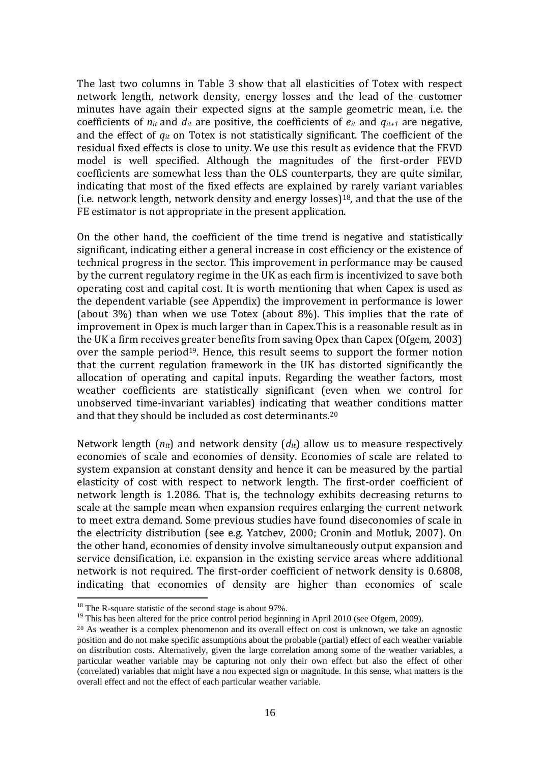The last two columns in Table 3 show that all elasticities of Totex with respect network length, network density, energy losses and the lead of the customer minutes have again their expected signs at the sample geometric mean, i.e. the coefficients of  $n_{it}$  and  $d_{it}$  are positive, the coefficients of  $e_{it}$  and  $q_{it+1}$  are negative, and the effect of *qit* on Totex is not statistically significant. The coefficient of the residual fixed effects is close to unity. We use this result as evidence that the FEVD model is well specified. Although the magnitudes of the first-order FEVD coefficients are somewhat less than the OLS counterparts, they are quite similar, indicating that most of the fixed effects are explained by rarely variant variables (i.e. network length, network density and energy losses)<sup>18</sup>, and that the use of the FE estimator is not appropriate in the present application.

On the other hand, the coefficient of the time trend is negative and statistically significant, indicating either a general increase in cost efficiency or the existence of technical progress in the sector. This improvement in performance may be caused by the current regulatory regime in the UK as each firm is incentivized to save both operating cost and capital cost. It is worth mentioning that when Capex is used as the dependent variable (see Appendix) the improvement in performance is lower (about 3%) than when we use Totex (about 8%). This implies that the rate of improvement in Opex is much larger than in Capex.This is a reasonable result as in the UK a firm receives greater benefits from saving Opex than Capex (Ofgem, 2003) over the sample period<sup>19</sup>. Hence, this result seems to support the former notion that the current regulation framework in the UK has distorted significantly the allocation of operating and capital inputs. Regarding the weather factors, most weather coefficients are statistically significant (even when we control for unobserved time-invariant variables) indicating that weather conditions matter and that they should be included as cost determinants.<sup>20</sup>

Network length  $(n_{it})$  and network density  $(d_{it})$  allow us to measure respectively economies of scale and economies of density. Economies of scale are related to system expansion at constant density and hence it can be measured by the partial elasticity of cost with respect to network length. The first-order coefficient of network length is 1.2086. That is, the technology exhibits decreasing returns to scale at the sample mean when expansion requires enlarging the current network to meet extra demand. Some previous studies have found diseconomies of scale in the electricity distribution (see e.g. Yatchev, 2000; Cronin and Motluk, 2007). On the other hand, economies of density involve simultaneously output expansion and service densification, i.e. expansion in the existing service areas where additional network is not required. The first-order coefficient of network density is 0.6808, indicating that economies of density are higher than economies of scale

<sup>&</sup>lt;sup>18</sup> The R-square statistic of the second stage is about 97%.

<sup>&</sup>lt;sup>19</sup> This has been altered for the price control period beginning in April 2010 (see Ofgem, 2009).

<sup>20</sup> As weather is a complex phenomenon and its overall effect on cost is unknown, we take an agnostic position and do not make specific assumptions about the probable (partial) effect of each weather variable on distribution costs. Alternatively, given the large correlation among some of the weather variables, a particular weather variable may be capturing not only their own effect but also the effect of other (correlated) variables that might have a non expected sign or magnitude. In this sense, what matters is the overall effect and not the effect of each particular weather variable.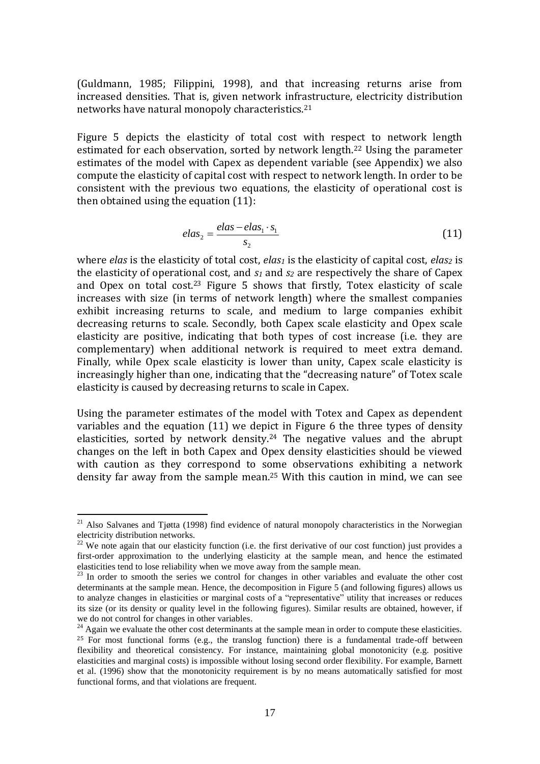(Guldmann, 1985; Filippini, 1998), and that increasing returns arise from increased densities. That is, given network infrastructure, electricity distribution networks have natural monopoly characteristics.<sup>21</sup>

Figure 5 depicts the elasticity of total cost with respect to network length estimated for each observation, sorted by network length.<sup>22</sup> Using the parameter estimates of the model with Capex as dependent variable (see Appendix) we also compute the elasticity of capital cost with respect to network length. In order to be consistent with the previous two equations, the elasticity of operational cost is then obtained using the equation (11):

$$
elas_2 = \frac{elas - elas_1 \cdot s_1}{s_2} \tag{11}
$$

where *elas* is the elasticity of total cost, *elas<sup>1</sup>* is the elasticity of capital cost, *elas<sup>2</sup>* is the elasticity of operational cost, and *s<sup>1</sup>* and *s<sup>2</sup>* are respectively the share of Capex and Opex on total cost.<sup>23</sup> Figure 5 shows that firstly, Totex elasticity of scale increases with size (in terms of network length) where the smallest companies exhibit increasing returns to scale, and medium to large companies exhibit decreasing returns to scale. Secondly, both Capex scale elasticity and Opex scale elasticity are positive, indicating that both types of cost increase (i.e. they are complementary) when additional network is required to meet extra demand. Finally, while Opex scale elasticity is lower than unity, Capex scale elasticity is increasingly higher than one, indicating that the "decreasing nature" of Totex scale elasticity is caused by decreasing returns to scale in Capex.

Using the parameter estimates of the model with Totex and Capex as dependent variables and the equation (11) we depict in Figure 6 the three types of density elasticities, sorted by network density.<sup>24</sup> The negative values and the abrupt changes on the left in both Capex and Opex density elasticities should be viewed with caution as they correspond to some observations exhibiting a network density far away from the sample mean.<sup>25</sup> With this caution in mind, we can see

<u>.</u>

 $21$  Also Salvanes and Tjøtta (1998) find evidence of natural monopoly characteristics in the Norwegian electricity distribution networks.

<sup>&</sup>lt;sup>22</sup> We note again that our elasticity function (i.e. the first derivative of our cost function) just provides a first-order approximation to the underlying elasticity at the sample mean, and hence the estimated elasticities tend to lose reliability when we move away from the sample mean.

<sup>&</sup>lt;sup>23</sup> In order to smooth the series we control for changes in other variables and evaluate the other cost determinants at the sample mean. Hence, the decomposition in Figure 5 (and following figures) allows us to analyze changes in elasticities or marginal costs of a "representative" utility that increases or reduces its size (or its density or quality level in the following figures). Similar results are obtained, however, if we do not control for changes in other variables.

 $24$  Again we evaluate the other cost determinants at the sample mean in order to compute these elasticities. <sup>25</sup> For most functional forms (e.g., the translog function) there is a fundamental trade-off between flexibility and theoretical consistency. For instance, maintaining global monotonicity (e.g. positive elasticities and marginal costs) is impossible without losing second order flexibility. For example, Barnett et al. (1996) show that the monotonicity requirement is by no means automatically satisfied for most functional forms, and that violations are frequent.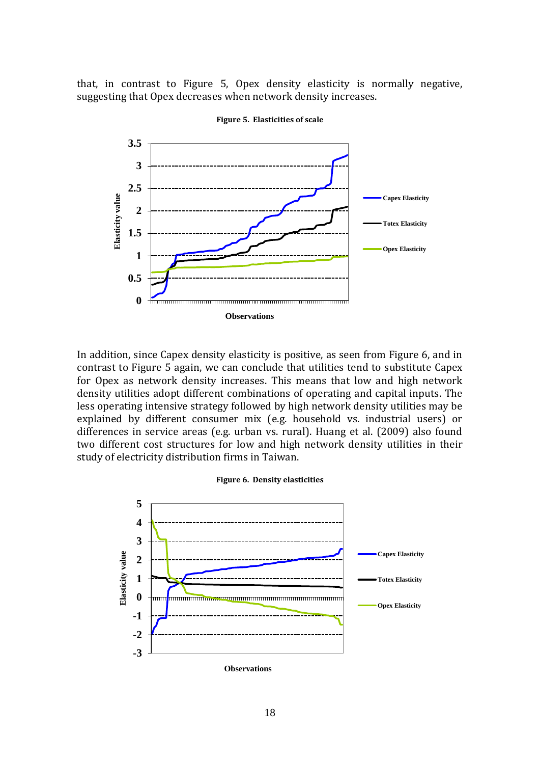that, in contrast to Figure 5, Opex density elasticity is normally negative, suggesting that Opex decreases when network density increases.



**Figure 5. Elasticities of scale**

In addition, since Capex density elasticity is positive, as seen from Figure 6, and in contrast to Figure 5 again, we can conclude that utilities tend to substitute Capex for Opex as network density increases. This means that low and high network density utilities adopt different combinations of operating and capital inputs. The less operating intensive strategy followed by high network density utilities may be explained by different consumer mix (e.g. household vs. industrial users) or differences in service areas (e.g. urban vs. rural). Huang et al. (2009) also found two different cost structures for low and high network density utilities in their study of electricity distribution firms in Taiwan.

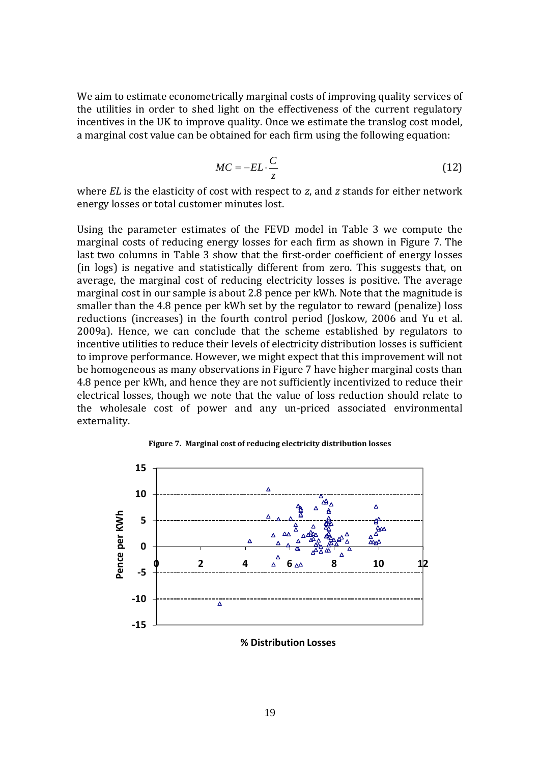We aim to estimate econometrically marginal costs of improving quality services of the utilities in order to shed light on the effectiveness of the current regulatory incentives in the UK to improve quality. Once we estimate the translog cost model, a marginal cost value can be obtained for each firm using the following equation:

$$
MC = -EL \cdot \frac{C}{z} \tag{12}
$$

where *EL* is the elasticity of cost with respect to *z*, and *z* stands for either network energy losses or total customer minutes lost.

Using the parameter estimates of the FEVD model in Table 3 we compute the marginal costs of reducing energy losses for each firm as shown in Figure 7. The last two columns in Table 3 show that the first-order coefficient of energy losses (in logs) is negative and statistically different from zero. This suggests that, on average, the marginal cost of reducing electricity losses is positive. The average marginal cost in our sample is about 2.8 pence per kWh. Note that the magnitude is smaller than the 4.8 pence per kWh set by the regulator to reward (penalize) loss reductions (increases) in the fourth control period (Joskow, 2006 and Yu et al. 2009a). Hence, we can conclude that the scheme established by regulators to incentive utilities to reduce their levels of electricity distribution losses is sufficient to improve performance. However, we might expect that this improvement will not be homogeneous as many observations in Figure 7 have higher marginal costs than 4.8 pence per kWh, and hence they are not sufficiently incentivized to reduce their electrical losses, though we note that the value of loss reduction should relate to the wholesale cost of power and any un-priced associated environmental externality.





**% Distribution Losses**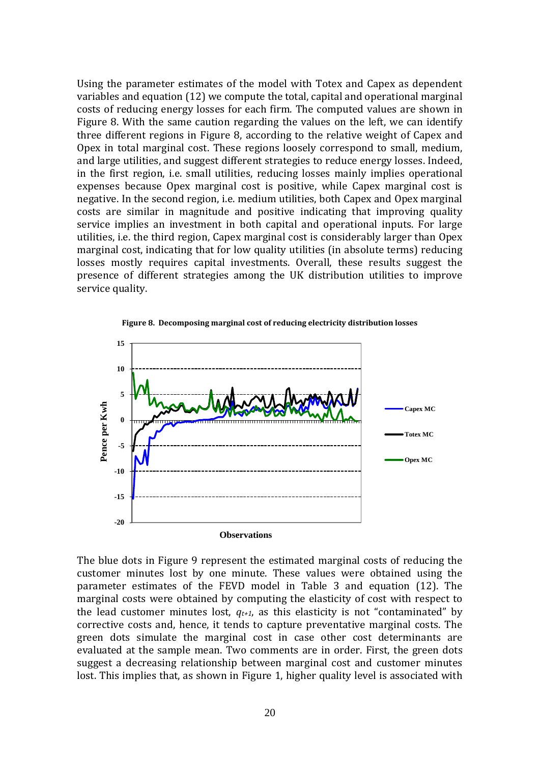Using the parameter estimates of the model with Totex and Capex as dependent variables and equation (12) we compute the total, capital and operational marginal costs of reducing energy losses for each firm. The computed values are shown in Figure 8. With the same caution regarding the values on the left, we can identify three different regions in Figure 8, according to the relative weight of Capex and Opex in total marginal cost. These regions loosely correspond to small, medium, and large utilities, and suggest different strategies to reduce energy losses. Indeed, in the first region, i.e. small utilities, reducing losses mainly implies operational expenses because Opex marginal cost is positive, while Capex marginal cost is negative. In the second region, i.e. medium utilities, both Capex and Opex marginal costs are similar in magnitude and positive indicating that improving quality service implies an investment in both capital and operational inputs. For large utilities, i.e. the third region, Capex marginal cost is considerably larger than Opex marginal cost, indicating that for low quality utilities (in absolute terms) reducing losses mostly requires capital investments. Overall, these results suggest the presence of different strategies among the UK distribution utilities to improve service quality.



**Figure 8. Decomposing marginal cost of reducing electricity distribution losses**

The blue dots in Figure 9 represent the estimated marginal costs of reducing the customer minutes lost by one minute. These values were obtained using the parameter estimates of the FEVD model in Table 3 and equation (12). The marginal costs were obtained by computing the elasticity of cost with respect to the lead customer minutes lost,  $q_{t+1}$ , as this elasticity is not "contaminated" by corrective costs and, hence, it tends to capture preventative marginal costs. The green dots simulate the marginal cost in case other cost determinants are evaluated at the sample mean. Two comments are in order. First, the green dots suggest a decreasing relationship between marginal cost and customer minutes lost. This implies that, as shown in Figure 1, higher quality level is associated with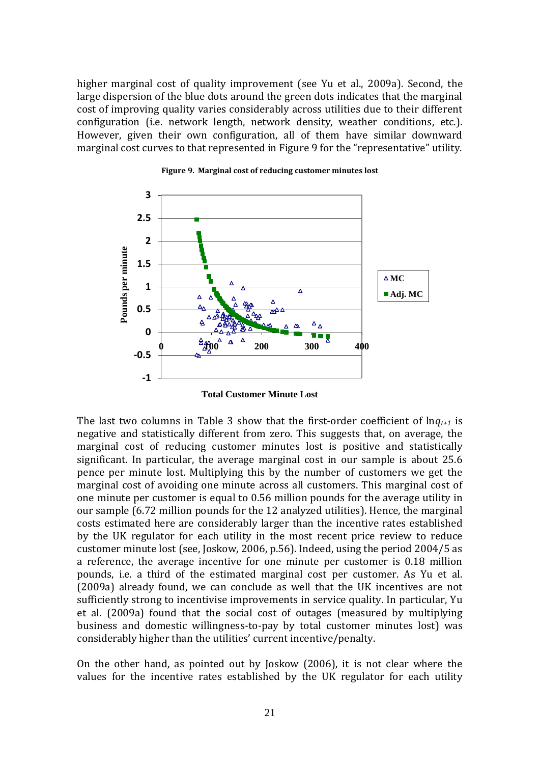higher marginal cost of quality improvement (see Yu et al., 2009a). Second, the large dispersion of the blue dots around the green dots indicates that the marginal cost of improving quality varies considerably across utilities due to their different configuration (i.e. network length, network density, weather conditions, etc.). However, given their own configuration, all of them have similar downward marginal cost curves to that represented in Figure 9 for the "representative" utility.





**Total Customer Minute Lost**

The last two columns in Table 3 show that the first-order coefficient of ln*qt+1* is negative and statistically different from zero. This suggests that, on average, the marginal cost of reducing customer minutes lost is positive and statistically significant. In particular, the average marginal cost in our sample is about 25.6 pence per minute lost. Multiplying this by the number of customers we get the marginal cost of avoiding one minute across all customers. This marginal cost of one minute per customer is equal to 0.56 million pounds for the average utility in our sample (6.72 million pounds for the 12 analyzed utilities). Hence, the marginal costs estimated here are considerably larger than the incentive rates established by the UK regulator for each utility in the most recent price review to reduce customer minute lost (see, Joskow, 2006, p.56). Indeed, using the period 2004/5 as a reference, the average incentive for one minute per customer is 0.18 million pounds, i.e. a third of the estimated marginal cost per customer. As Yu et al. (2009a) already found, we can conclude as well that the UK incentives are not sufficiently strong to incentivise improvements in service quality. In particular, Yu et al. (2009a) found that the social cost of outages (measured by multiplying business and domestic willingness-to-pay by total customer minutes lost) was considerably higher than the utilities' current incentive/penalty.

On the other hand, as pointed out by Joskow (2006), it is not clear where the values for the incentive rates established by the UK regulator for each utility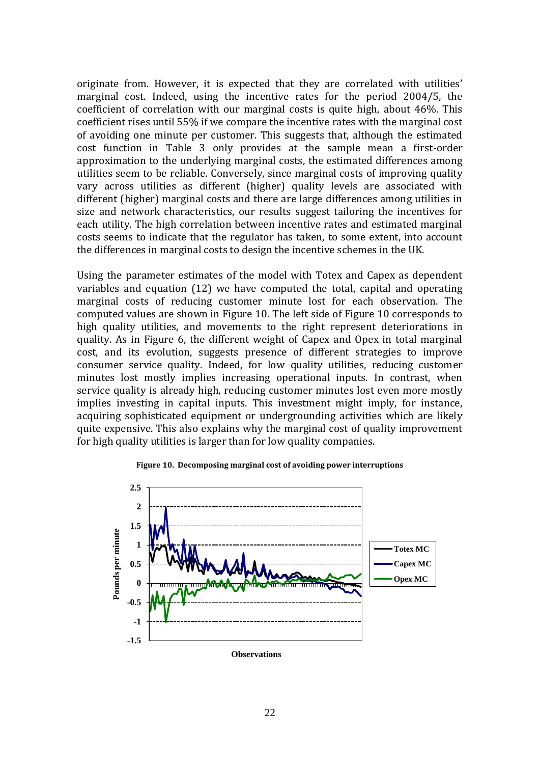originate from. However, it is expected that they are correlated with utilities' marginal cost. Indeed, using the incentive rates for the period 2004/5, the coefficient of correlation with our marginal costs is quite high, about 46%. This coefficient rises until 55% if we compare the incentive rates with the marginal cost of avoiding one minute per customer. This suggests that, although the estimated cost function in Table 3 only provides at the sample mean a first-order approximation to the underlying marginal costs, the estimated differences among utilities seem to be reliable. Conversely, since marginal costs of improving quality vary across utilities as different (higher) quality levels are associated with different (higher) marginal costs and there are large differences among utilities in size and network characteristics, our results suggest tailoring the incentives for each utility. The high correlation between incentive rates and estimated marginal costs seems to indicate that the regulator has taken, to some extent, into account the differences in marginal costs to design the incentive schemes in the UK.

Using the parameter estimates of the model with Totex and Capex as dependent variables and equation (12) we have computed the total, capital and operating marginal costs of reducing customer minute lost for each observation. The computed values are shown in Figure 10. The left side of Figure 10 corresponds to high quality utilities, and movements to the right represent deteriorations in quality. As in Figure 6, the different weight of Capex and Opex in total marginal cost, and its evolution, suggests presence of different strategies to improve consumer service quality. Indeed, for low quality utilities, reducing customer minutes lost mostly implies increasing operational inputs. In contrast, when service quality is already high, reducing customer minutes lost even more mostly implies investing in capital inputs. This investment might imply, for instance, acquiring sophisticated equipment or undergrounding activities which are likely quite expensive. This also explains why the marginal cost of quality improvement for high quality utilities is larger than for low quality companies.



**Figure 10. Decomposing marginal cost of avoiding power interruptions**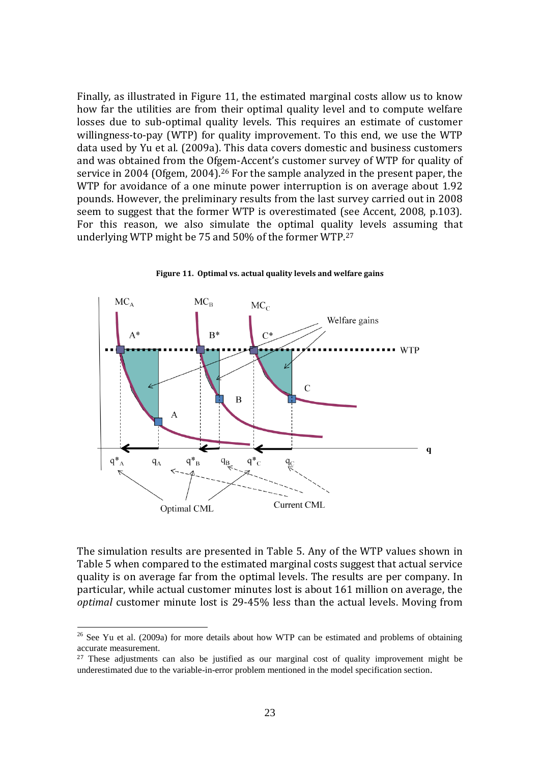Finally, as illustrated in Figure 11, the estimated marginal costs allow us to know how far the utilities are from their optimal quality level and to compute welfare losses due to sub-optimal quality levels. This requires an estimate of customer willingness-to-pay (WTP) for quality improvement. To this end, we use the WTP data used by Yu et al. (2009a). This data covers domestic and business customers and was obtained from the Ofgem-Accent's customer survey of WTP for quality of service in 2004 (Ofgem, 2004).<sup>26</sup> For the sample analyzed in the present paper, the WTP for avoidance of a one minute power interruption is on average about 1.92 pounds. However, the preliminary results from the last survey carried out in 2008 seem to suggest that the former WTP is overestimated (see Accent, 2008, p.103). For this reason, we also simulate the optimal quality levels assuming that underlying WTP might be 75 and 50% of the former WTP.<sup>27</sup>





The simulation results are presented in Table 5. Any of the WTP values shown in Table 5 when compared to the estimated marginal costs suggest that actual service quality is on average far from the optimal levels. The results are per company. In particular, while actual customer minutes lost is about 161 million on average, the *optimal* customer minute lost is 29-45% less than the actual levels. Moving from

 $26$  See Yu et al. (2009a) for more details about how WTP can be estimated and problems of obtaining accurate measurement.

<sup>&</sup>lt;sup>27</sup> These adjustments can also be justified as our marginal cost of quality improvement might be underestimated due to the variable-in-error problem mentioned in the model specification section.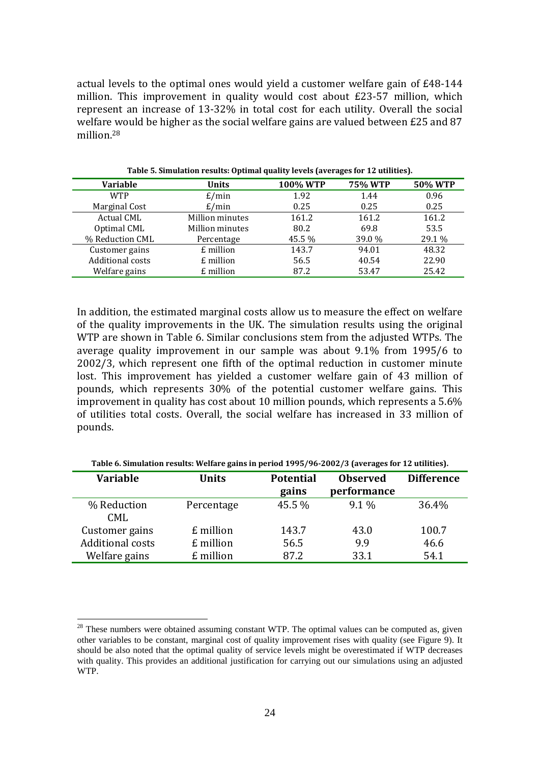actual levels to the optimal ones would yield a customer welfare gain of £48-144 million. This improvement in quality would cost about £23-57 million, which represent an increase of 13-32% in total cost for each utility. Overall the social welfare would be higher as the social welfare gains are valued between £25 and 87 million.<sup>28</sup>

| <b>Variable</b>   | <b>Units</b>    | <b>100% WTP</b> | <b>75% WTP</b> | 50% WTP |
|-------------------|-----------------|-----------------|----------------|---------|
| <b>WTP</b>        | E/min           | 1.92            | 1.44           | 0.96    |
| Marginal Cost     | E/min           | 0.25            | 0.25           | 0.25    |
| <b>Actual CML</b> | Million minutes | 161.2           | 161.2          | 161.2   |
| Optimal CML       | Million minutes | 80.2            | 69.8           | 53.5    |
| % Reduction CML   | Percentage      | 45.5 %          | 39.0 %         | 29.1 %  |
| Customer gains    | £ million       | 143.7           | 94.01          | 48.32   |
| Additional costs  | £ million       | 56.5            | 40.54          | 22.90   |
| Welfare gains     | £ million       | 87.2            | 53.47          | 25.42   |

**Table 5. Simulation results: Optimal quality levels (averages for 12 utilities).**

In addition, the estimated marginal costs allow us to measure the effect on welfare of the quality improvements in the UK. The simulation results using the original WTP are shown in Table 6. Similar conclusions stem from the adjusted WTPs. The average quality improvement in our sample was about 9.1% from 1995/6 to 2002/3, which represent one fifth of the optimal reduction in customer minute lost. This improvement has yielded a customer welfare gain of 43 million of pounds, which represents 30% of the potential customer welfare gains. This improvement in quality has cost about 10 million pounds, which represents a 5.6% of utilities total costs. Overall, the social welfare has increased in 33 million of pounds.

| Table of Simulation Fesures. Wendi't gains in perfou 1773/70-2002/3 (averages for 12 utilities). |              |                           |                                |                   |  |  |
|--------------------------------------------------------------------------------------------------|--------------|---------------------------|--------------------------------|-------------------|--|--|
| <b>Variable</b>                                                                                  | <b>Units</b> | <b>Potential</b><br>gains | <b>Observed</b><br>performance | <b>Difference</b> |  |  |
| % Reduction<br><b>CML</b>                                                                        | Percentage   | 45.5 %                    | $9.1\%$                        | 36.4%             |  |  |
| Customer gains                                                                                   | £ million    | 143.7                     | 43.0                           | 100.7             |  |  |
| <b>Additional costs</b>                                                                          | £ million    | 56.5                      | 9.9                            | 46.6              |  |  |
| Welfare gains                                                                                    | £ million    | 87.2                      | 33.1                           | 54.1              |  |  |

**Table 6. Simulation results: Welfare gains in period 1995/96-2002/3 (averages for 12 utilities).**

 $28$  These numbers were obtained assuming constant WTP. The optimal values can be computed as, given other variables to be constant, marginal cost of quality improvement rises with quality (see Figure 9). It should be also noted that the optimal quality of service levels might be overestimated if WTP decreases with quality. This provides an additional justification for carrying out our simulations using an adjusted WTP.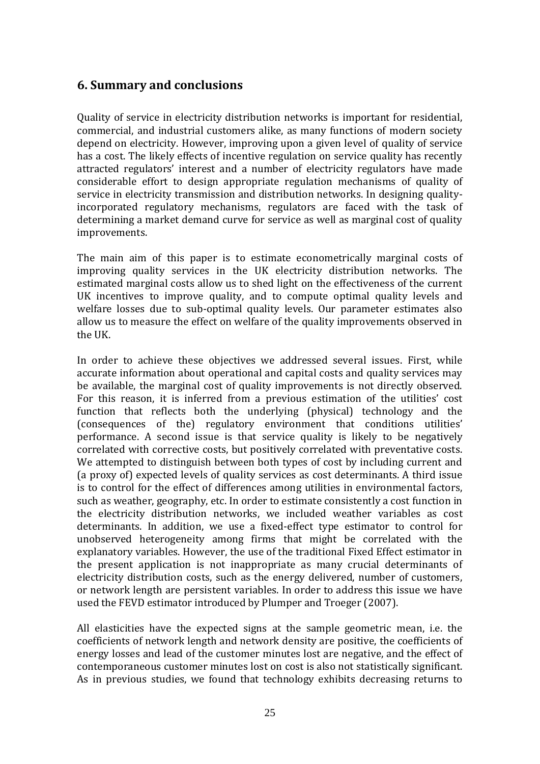## **6. Summary and conclusions**

Quality of service in electricity distribution networks is important for residential, commercial, and industrial customers alike, as many functions of modern society depend on electricity. However, improving upon a given level of quality of service has a cost. The likely effects of incentive regulation on service quality has recently attracted regulators' interest and a number of electricity regulators have made considerable effort to design appropriate regulation mechanisms of quality of service in electricity transmission and distribution networks. In designing qualityincorporated regulatory mechanisms, regulators are faced with the task of determining a market demand curve for service as well as marginal cost of quality improvements.

The main aim of this paper is to estimate econometrically marginal costs of improving quality services in the UK electricity distribution networks. The estimated marginal costs allow us to shed light on the effectiveness of the current UK incentives to improve quality, and to compute optimal quality levels and welfare losses due to sub-optimal quality levels. Our parameter estimates also allow us to measure the effect on welfare of the quality improvements observed in the UK.

In order to achieve these objectives we addressed several issues. First, while accurate information about operational and capital costs and quality services may be available, the marginal cost of quality improvements is not directly observed. For this reason, it is inferred from a previous estimation of the utilities' cost function that reflects both the underlying (physical) technology and the (consequences of the) regulatory environment that conditions utilities' performance. A second issue is that service quality is likely to be negatively correlated with corrective costs, but positively correlated with preventative costs. We attempted to distinguish between both types of cost by including current and (a proxy of) expected levels of quality services as cost determinants. A third issue is to control for the effect of differences among utilities in environmental factors, such as weather, geography, etc. In order to estimate consistently a cost function in the electricity distribution networks, we included weather variables as cost determinants. In addition, we use a fixed-effect type estimator to control for unobserved heterogeneity among firms that might be correlated with the explanatory variables. However, the use of the traditional Fixed Effect estimator in the present application is not inappropriate as many crucial determinants of electricity distribution costs, such as the energy delivered, number of customers, or network length are persistent variables. In order to address this issue we have used the FEVD estimator introduced by Plumper and Troeger (2007).

All elasticities have the expected signs at the sample geometric mean, i.e. the coefficients of network length and network density are positive, the coefficients of energy losses and lead of the customer minutes lost are negative, and the effect of contemporaneous customer minutes lost on cost is also not statistically significant. As in previous studies, we found that technology exhibits decreasing returns to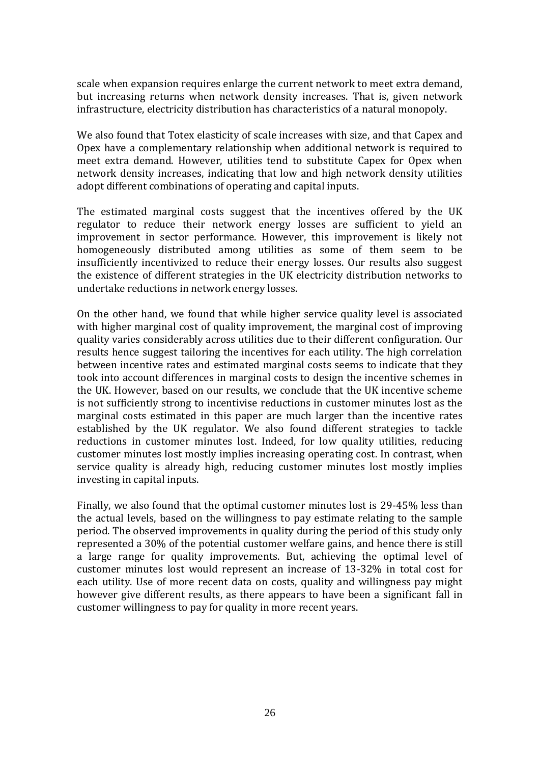scale when expansion requires enlarge the current network to meet extra demand, but increasing returns when network density increases. That is, given network infrastructure, electricity distribution has characteristics of a natural monopoly.

We also found that Totex elasticity of scale increases with size, and that Capex and Opex have a complementary relationship when additional network is required to meet extra demand. However, utilities tend to substitute Capex for Opex when network density increases, indicating that low and high network density utilities adopt different combinations of operating and capital inputs.

The estimated marginal costs suggest that the incentives offered by the UK regulator to reduce their network energy losses are sufficient to yield an improvement in sector performance. However, this improvement is likely not homogeneously distributed among utilities as some of them seem to be insufficiently incentivized to reduce their energy losses. Our results also suggest the existence of different strategies in the UK electricity distribution networks to undertake reductions in network energy losses.

On the other hand, we found that while higher service quality level is associated with higher marginal cost of quality improvement, the marginal cost of improving quality varies considerably across utilities due to their different configuration. Our results hence suggest tailoring the incentives for each utility. The high correlation between incentive rates and estimated marginal costs seems to indicate that they took into account differences in marginal costs to design the incentive schemes in the UK. However, based on our results, we conclude that the UK incentive scheme is not sufficiently strong to incentivise reductions in customer minutes lost as the marginal costs estimated in this paper are much larger than the incentive rates established by the UK regulator. We also found different strategies to tackle reductions in customer minutes lost. Indeed, for low quality utilities, reducing customer minutes lost mostly implies increasing operating cost. In contrast, when service quality is already high, reducing customer minutes lost mostly implies investing in capital inputs.

Finally, we also found that the optimal customer minutes lost is 29-45% less than the actual levels, based on the willingness to pay estimate relating to the sample period. The observed improvements in quality during the period of this study only represented a 30% of the potential customer welfare gains, and hence there is still a large range for quality improvements. But, achieving the optimal level of customer minutes lost would represent an increase of 13-32% in total cost for each utility. Use of more recent data on costs, quality and willingness pay might however give different results, as there appears to have been a significant fall in customer willingness to pay for quality in more recent years.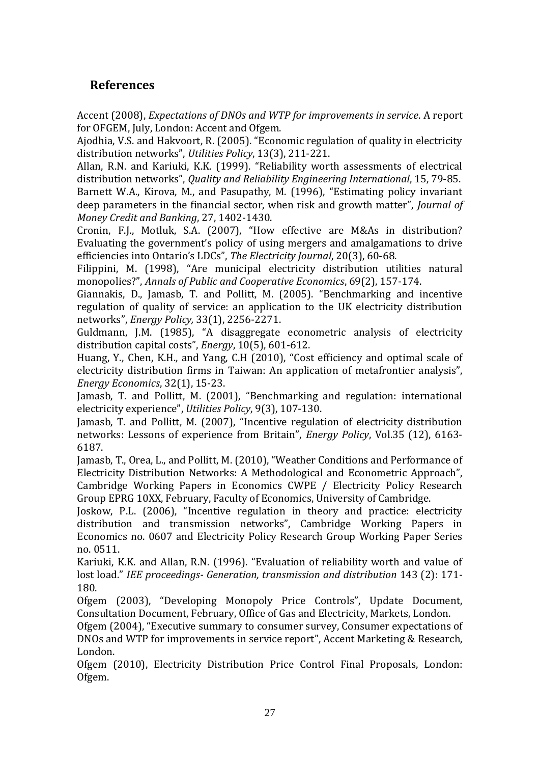# **References**

Accent (2008), *Expectations of DNOs and WTP for improvements in service*. A report for OFGEM, July, London: Accent and Ofgem.

Ajodhia, V.S. and Hakvoort, R. (2005). "Economic regulation of quality in electricity distribution networks", *Utilities Policy*, 13(3), 211-221.

Allan, R.N. and Kariuki, K.K. (1999). "Reliability worth assessments of electrical distribution networks", *Quality and Reliability Engineering International*, 15, 79-85.

Barnett W.A., Kirova, M., and Pasupathy, M. (1996), "Estimating policy invariant deep parameters in the financial sector, when risk and growth matter", *Journal of Money Credit and Banking*, 27, 1402-1430.

Cronin, F.J., Motluk, S.A. (2007), "How effective are M&As in distribution? Evaluating the government's policy of using mergers and amalgamations to drive efficiencies into Ontario's LDCs", *The Electricity Journal*, 20(3), 60-68.

Filippini, M. (1998), "Are municipal electricity distribution utilities natural monopolies?", *Annals of Public and Cooperative Economics*, 69(2), 157-174.

Giannakis, D., Jamasb, T. and Pollitt, M. (2005). "Benchmarking and incentive regulation of quality of service: an application to the UK electricity distribution networks", *Energy Policy,* 33(1), 2256-2271.

Guldmann, J.M. (1985), "A disaggregate econometric analysis of electricity distribution capital costs", *Energy*, 10(5), 601-612.

Huang, Y., Chen, K.H., and Yang, C.H (2010), "Cost efficiency and optimal scale of electricity distribution firms in Taiwan: An application of metafrontier analysis", *Energy Economics*, 32(1), 15-23.

Jamasb, T. and Pollitt, M. (2001), "Benchmarking and regulation: international electricity experience", *Utilities Policy*, 9(3), 107-130.

Jamasb, T. and Pollitt, M. (2007), "Incentive regulation of electricity distribution networks: Lessons of experience from Britain", *Energy Policy*, Vol.35 (12), 6163- 6187.

Jamasb, T., Orea, L., and Pollitt, M. (2010), "Weather Conditions and Performance of Electricity Distribution Networks: A Methodological and Econometric Approach", Cambridge Working Papers in Economics CWPE / Electricity Policy Research Group EPRG 10XX, February, Faculty of Economics, University of Cambridge.

Joskow, P.L. (2006), "Incentive regulation in theory and practice: electricity distribution and transmission networks", Cambridge Working Papers in Economics no. 0607 and Electricity Policy Research Group Working Paper Series no. 0511.

Kariuki, K.K. and Allan, R.N. (1996). "Evaluation of reliability worth and value of lost load." *IEE proceedings- Generation, transmission and distribution* 143 (2): 171- 180.

Ofgem (2003), "Developing Monopoly Price Controls", Update Document, Consultation Document, February, Office of Gas and Electricity, Markets, London.

Ofgem (2004), "Executive summary to consumer survey, Consumer expectations of DNOs and WTP for improvements in service report", Accent Marketing & Research, London.

Ofgem (2010), Electricity Distribution Price Control Final Proposals, London: Ofgem.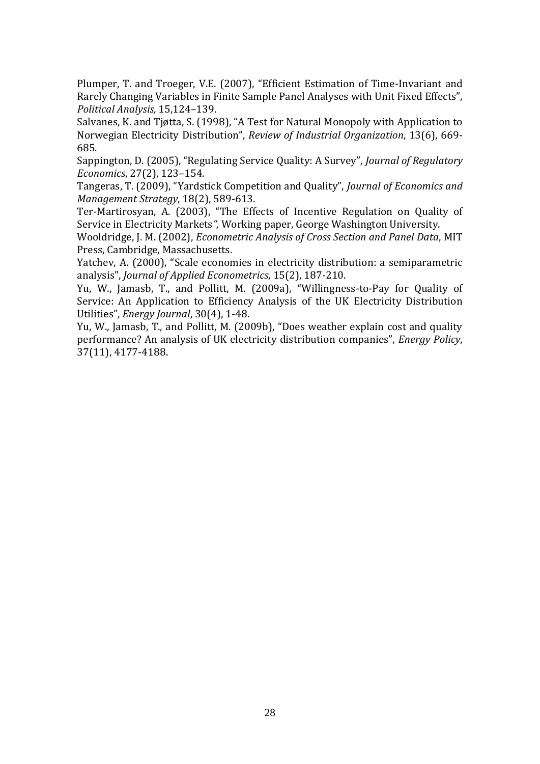Plumper, T. and Troeger, V.E. (2007), "Efficient Estimation of Time-Invariant and Rarely Changing Variables in Finite Sample Panel Analyses with Unit Fixed Effects", *Political Analysis,* 15,124–139.

Salvanes, K. and Tjøtta, S. (1998), "A Test for Natural Monopoly with Application to Norwegian Electricity Distribution", *Review of Industrial Organization*, 13(6), 669- 685.

Sappington, D. (2005), "Regulating Service Quality: A Survey", *Journal of Regulatory Economics*, 27(2), 123–154.

Tangeras, T. (2009), "Yardstick Competition and Quality", *Journal of Economics and Management Strategy*, 18(2), 589-613.

Ter-Martirosyan, A. (2003), "The Effects of Incentive Regulation on Quality of Service in Electricity Markets*",* Working paper, George Washington University.

Wooldridge, J. M. (2002), *Econometric Analysis of Cross Section and Panel Data*, MIT Press, Cambridge, Massachusetts.

Yatchev, A. (2000), "Scale economies in electricity distribution: a semiparametric analysis", *Journal of Applied Econometrics*, 15(2), 187-210.

Yu, W., Jamasb, T., and Pollitt, M. (2009a), "Willingness-to-Pay for Quality of Service: An Application to Efficiency Analysis of the UK Electricity Distribution Utilities", *Energy Journal*, 30(4), 1-48.

Yu, W., Jamasb, T., and Pollitt, M. (2009b), "Does weather explain cost and quality performance? An analysis of UK electricity distribution companies", *Energy Policy*, 37(11), 4177-4188.